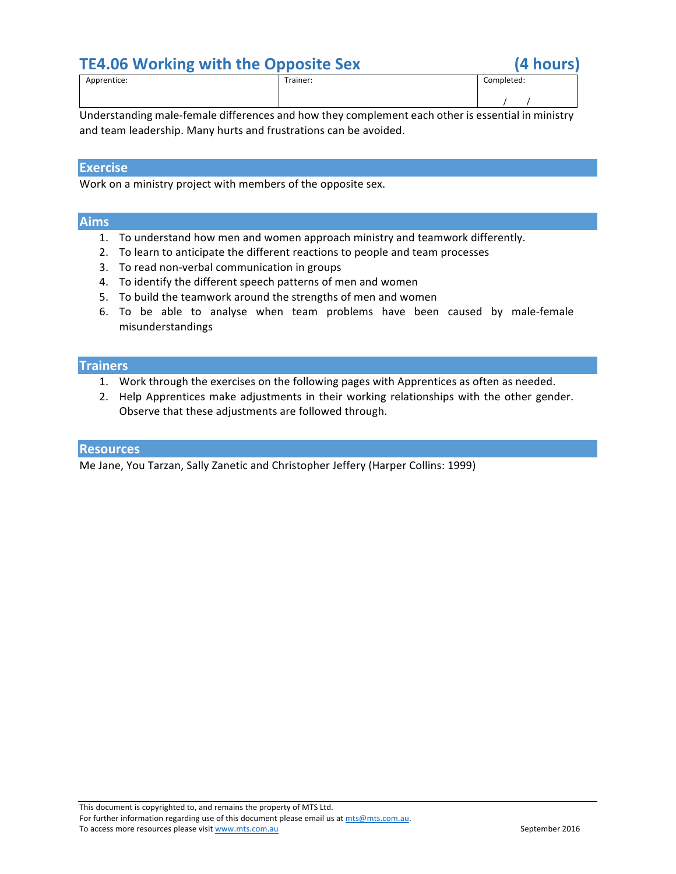## **TE4.06 Working with the Opposite Sex (4 hours)**



| _           |          |            |
|-------------|----------|------------|
| Apprentice: | Trainer: | Completed: |
|             |          |            |

Understanding male-female differences and how they complement each other is essential in ministry and team leadership. Many hurts and frustrations can be avoided.

#### **Exercise**

Work on a ministry project with members of the opposite sex.

#### **Aims**

- 1. To understand how men and women approach ministry and teamwork differently.
- 2. To learn to anticipate the different reactions to people and team processes
- 3. To read non-verbal communication in groups
- 4. To identify the different speech patterns of men and women
- 5. To build the teamwork around the strengths of men and women
- 6. To be able to analyse when team problems have been caused by male-female misunderstandings

#### **Trainers**

- 1. Work through the exercises on the following pages with Apprentices as often as needed.
- 2. Help Apprentices make adjustments in their working relationships with the other gender. Observe that these adjustments are followed through.

#### **Resources**

Me Jane, You Tarzan, Sally Zanetic and Christopher Jeffery (Harper Collins: 1999)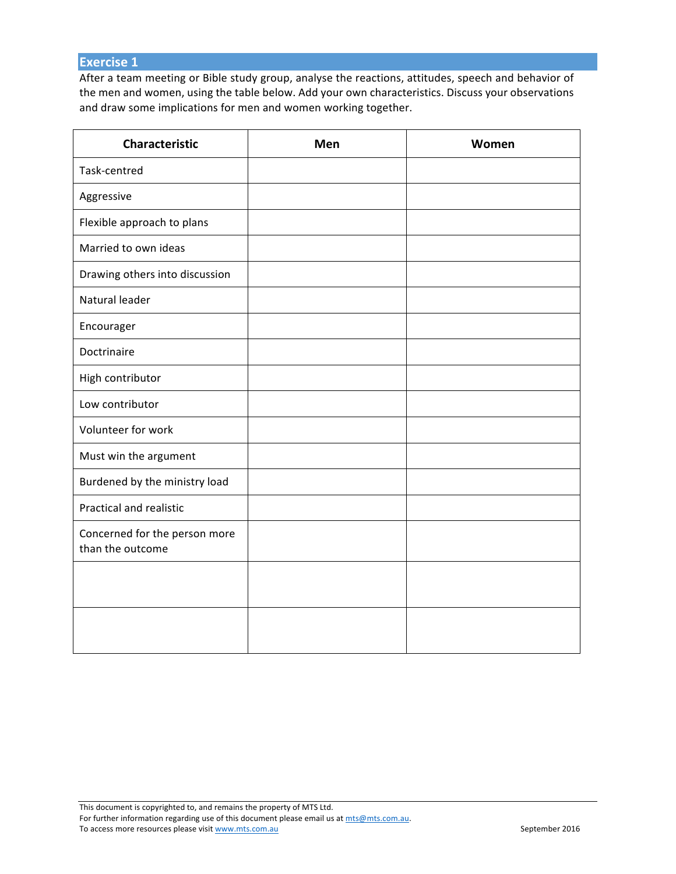## **Exercise 1**

After a team meeting or Bible study group, analyse the reactions, attitudes, speech and behavior of the men and women, using the table below. Add your own characteristics. Discuss your observations and draw some implications for men and women working together.

| <b>Characteristic</b>                             | Men | Women |
|---------------------------------------------------|-----|-------|
| Task-centred                                      |     |       |
| Aggressive                                        |     |       |
| Flexible approach to plans                        |     |       |
| Married to own ideas                              |     |       |
| Drawing others into discussion                    |     |       |
| Natural leader                                    |     |       |
| Encourager                                        |     |       |
| Doctrinaire                                       |     |       |
| High contributor                                  |     |       |
| Low contributor                                   |     |       |
| Volunteer for work                                |     |       |
| Must win the argument                             |     |       |
| Burdened by the ministry load                     |     |       |
| Practical and realistic                           |     |       |
| Concerned for the person more<br>than the outcome |     |       |
|                                                   |     |       |
|                                                   |     |       |